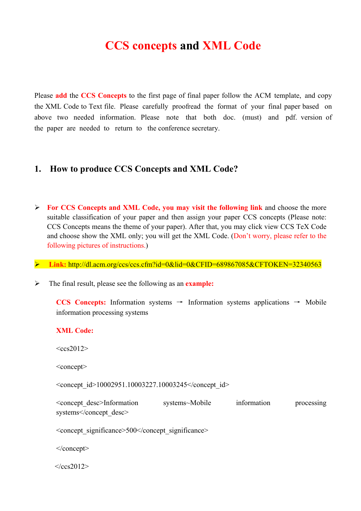# **CCS concepts and XML Code**

Please **add** the **CCS Concepts** to the first page of final paper follow the ACM template, and copy the XML Code to Text file. Please carefully proofread the format of your final paper based on above two needed information. Please note that both doc. (must) and pdf. version of the paper are needed to return to the conference secretary.

#### **1. How to produce CCS Concepts and XML Code?**

 **For CCS Concepts and XML Code, you may visit the following link** and choose the more suitable classification of your paper and then assign your paper CCS concepts (Please note: CCS Concepts means the theme of your paper). After that, you may click view CCS TeX Code and choose show the XML only; you will get the XML Code. (Don't worry, please refer to the following pictures of instructions.)

**Link:** http://dl.acm.org/ccs/ccs.cfm?id=0&lid=0&CFID=689867085&CFTOKEN=32340563

The final result, please see the following as an **example:**

 $<\frac{\text{c}}{\text{c}}$  2012>

**CCS Concepts:** Information systems  $\rightarrow$  Information systems applications  $\rightarrow$  Mobile information processing systems

# **XML Code:**  $<$ ccs2012> <concept> <concept\_id>10002951.10003227.10003245</concept\_id> <concept\_desc>Information systems~Mobile information processing systems</concept\_desc> <concept\_significance>500</concept\_significance> </concept>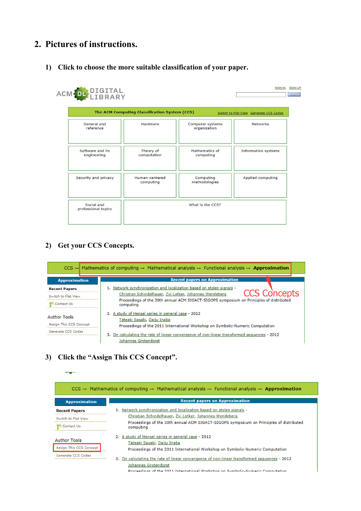## **2. Pictures of instructions.**

#### **1) Click to choose the more suitable classification of your paper.**

|                                 | The ACM Computing Classification System (CCS) |                                  | Switch to Flat View Generate CCS Codes |
|---------------------------------|-----------------------------------------------|----------------------------------|----------------------------------------|
| General and<br>reference        | Hardware                                      | Computer systems<br>organization | <b>Networks</b>                        |
| Software and its<br>engineering | Theory of<br>computation                      | Mathematics of<br>computing      | <b>Information systems</b>             |
| Security and privacy            | Human-centered<br>computing                   | Computing<br>methodologies       | Applied computing                      |

#### **2) Get your CCS Concepts.**



#### **3) Click the "Assign This CCS Concept".**

|                                                                      | $CCS \rightarrow$ Mathematics of computing $\rightarrow$ Mathematical analysis $\rightarrow$ Functional analysis $\rightarrow$ Approximation                                                          |
|----------------------------------------------------------------------|-------------------------------------------------------------------------------------------------------------------------------------------------------------------------------------------------------|
| <b>Approximation</b>                                                 | <b>Recent papers on Approximation</b>                                                                                                                                                                 |
| <b>Recent Papers</b>                                                 | 1. Network synchronization and localization based on stolen signals -                                                                                                                                 |
| Switch to Flat View                                                  | Christian Schindelhauer, Zvi Lotker, Johannes Wendeberg                                                                                                                                               |
| <b>Contact Us</b>                                                    | Proceedings of the 30th annual ACM SIGACT-SIGOPS symposium on Principles of distributed<br>computing                                                                                                  |
| <b>Author Tools</b><br>Assign This CCS Concept<br>Generate CCS Codes | 2. A study of Hensel series in general case - 2012<br>Tateaki Sasaki, Daiju Inaba<br>Proceedings of the 2011 International Workshop on Symbolic-Numeric Computation                                   |
|                                                                      | 3. On calculating the rate of linear convergence of non-linear transformed sequences - 2012<br>Johannes Grotendorst<br>Proceedings of the 2011 International Workshop on Symbolic-Numeric Computation |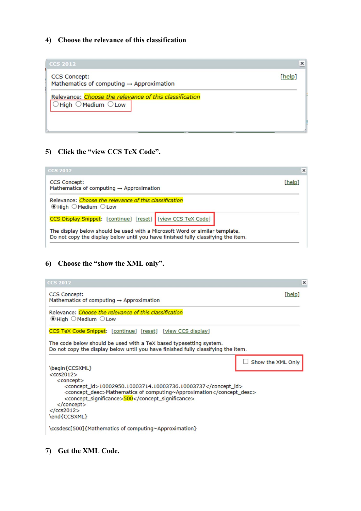#### **4) Choose the relevance of this classification**

| <b>CCS 2012</b>                                                                                            | ×      |
|------------------------------------------------------------------------------------------------------------|--------|
| <b>CCS Concept:</b><br>Mathematics of computing $\rightarrow$ Approximation                                | [help] |
| Relevance: Choose the relevance of this classification<br>$\bigcirc$ High $\bigcirc$ Medium $\bigcirc$ Low |        |

### **5) Click the "view CCS TeX Code".**

| <b>CCS 2012</b>                                                                                                                                                  |        | $\times$ |
|------------------------------------------------------------------------------------------------------------------------------------------------------------------|--------|----------|
| <b>CCS Concept:</b><br>Mathematics of computing $\rightarrow$ Approximation                                                                                      | [help] |          |
| Relevance: Choose the relevance of this classification<br><b>.</b> High OMedium OLow                                                                             |        |          |
| CCS Display Snippet: [continue] [reset] [view CCS TeX Code]                                                                                                      |        |          |
| The display below should be used with a Microsoft Word or similar template.<br>Do not copy the display below until you have finished fully classifying the item. |        |          |

#### **6) Choose the "show the XML only".**

| <b>CCS 2012</b>                                                                                                                                                                                                                                                                                                                                                            | ×                 |
|----------------------------------------------------------------------------------------------------------------------------------------------------------------------------------------------------------------------------------------------------------------------------------------------------------------------------------------------------------------------------|-------------------|
| <b>CCS Concept:</b><br>Mathematics of computing $\rightarrow$ Approximation                                                                                                                                                                                                                                                                                                | [help]            |
| Relevance: Choose the relevance of this classification<br>$\odot$ High $\odot$ Medium $\odot$ Low                                                                                                                                                                                                                                                                          |                   |
| CCS TeX Code Snippet: [continue] [reset] [view CCS display]                                                                                                                                                                                                                                                                                                                |                   |
| The code below should be used with a TeX based typesetting system.<br>Do not copy the display below until you have finished fully classifying the item.                                                                                                                                                                                                                    |                   |
| \begin{CCSXML}<br>$<$ ccs2012><br><concept><br/><concept_id>10002950.10003714.10003736.10003737</concept_id><br/><concept_desc>Mathematics of computing~Approximation</concept_desc><br/><concept_significance>500</concept_significance><br/><math><!--</math-->concept<math>&gt;</math><br/><math>&lt;</math>/<math>ccs2012&gt;</math><br/>\end{CCSXML}</math></concept> | Show the XML Only |
| \ccsdesc[500]{Mathematics of computing~Approximation}                                                                                                                                                                                                                                                                                                                      |                   |

#### **7) Get the XML Code.**